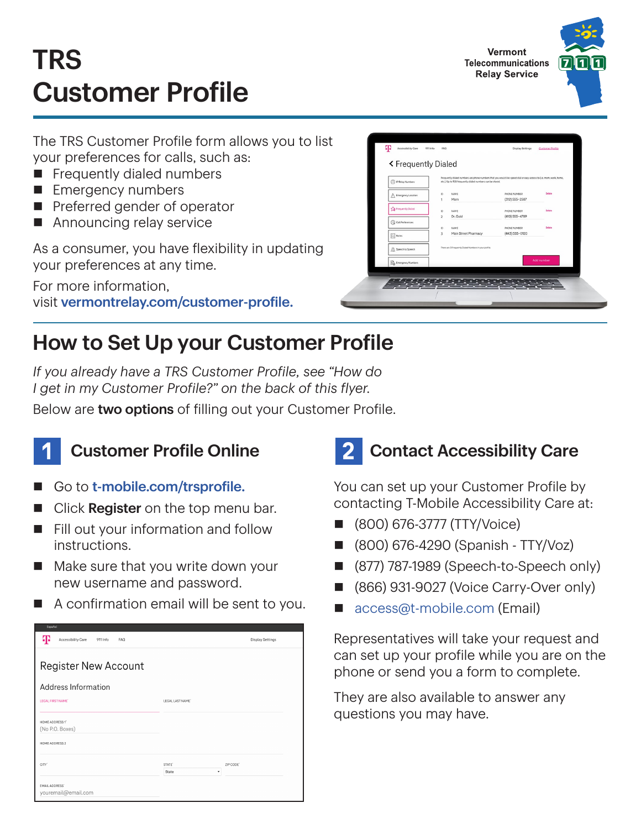# TRS Customer Profile

The TRS Customer Profile form allows you to list your preferences for calls, such as:

- $\blacksquare$  Frequently dialed numbers
- **Emergency numbers**
- $\blacksquare$  Preferred gender of operator
- $\blacksquare$  Announcing relay service

As a consumer, you have flexibility in updating your preferences at any time.

For more information, visit [vermontrelay.com/customer-profile.](http://vermontrelay.com/customer-profile)

#### How to Set Up your Customer Profile

*If you already have a TRS Customer Profile, see "How do I get in my Customer Profile?" on the back of this flyer.*

Below are two options of filling out your Customer Profile.



#### **Customer Profile Online**

- Go to [t-mobile.com/trsprofile.](http://t-mobile.com/trsprofile)
- Click Register on the top menu bar.
- $\blacksquare$  Fill out your information and follow instructions.
- $\blacksquare$  Make sure that you write down your new username and password.
- $\blacksquare$  A confirmation email will be sent to you.

| Æ<br>Accessibility Care<br>911 Info<br>FAQ   |                    |           |  |  |  |
|----------------------------------------------|--------------------|-----------|--|--|--|
| <b>Register New Account</b>                  |                    |           |  |  |  |
| Address Information                          |                    |           |  |  |  |
| LEGAL FIRST NAME'                            | LEGAL LAST NAME'   |           |  |  |  |
| HOME ADDRESS 1"<br>(No P.O. Boxes)           |                    |           |  |  |  |
| HOME ADDRESS 2                               |                    |           |  |  |  |
| CITY <sup>*</sup>                            | STATE <sup>®</sup> | ZIP CODE' |  |  |  |
|                                              | State<br>٠         |           |  |  |  |
| <b>EMAIL ADDRESS®</b><br>youremail@email.com |                    |           |  |  |  |

### **Contact Accessibility Care**

You can set up your Customer Profile by contacting T-Mobile Accessibility Care at:

- n (800) 676-3777 (TTY/Voice)
- n (800) 676-4290 (Spanish TTY/Voz)
- (877) 787-1989 (Speech-to-Speech only)
- (866) 931-9027 (Voice Carry-Over only)
- [access@t-mobile.com](mailto:access%40t-mobile.com?subject=) (Email)

Representatives will take your request and can set up your profile while you are on the phone or send you a form to complete.

They are also available to answer any questions you may have.





Vermont

**Relay Service**